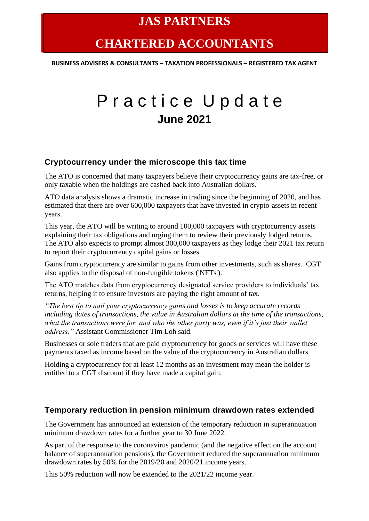# **CHARTERED ACCOUNTANTS**

**BUSINESS ADVISERS & CONSULTANTS – TAXATION PROFESSIONALS – REGISTERED TAX AGENT**

# Practice Update **June 2021**

#### **Cryptocurrency under the microscope this tax time**

The ATO is concerned that many taxpayers believe their cryptocurrency gains are tax-free, or only taxable when the holdings are cashed back into Australian dollars.

ATO data analysis shows a dramatic increase in trading since the beginning of 2020, and has estimated that there are over 600,000 taxpayers that have invested in crypto-assets in recent years.

This year, the ATO will be writing to around 100,000 taxpayers with cryptocurrency assets explaining their tax obligations and urging them to review their previously lodged returns. The ATO also expects to prompt almost 300,000 taxpayers as they lodge their 2021 tax return to report their cryptocurrency capital gains or losses.

Gains from cryptocurrency are similar to gains from other investments, such as shares. CGT also applies to the disposal of non-fungible tokens ('NFTs').

The ATO matches data from cryptocurrency designated service providers to individuals' tax returns, helping it to ensure investors are paying the right amount of tax.

*"The best tip to nail your cryptocurrency gains and losses is to keep accurate records including dates of transactions, the value in Australian dollars at the time of the transactions, what the transactions were for, and who the other party was, even if it's just their wallet address,"* Assistant Commissioner Tim Loh said.

Businesses or sole traders that are paid cryptocurrency for goods or services will have these payments taxed as income based on the value of the cryptocurrency in Australian dollars.

Holding a cryptocurrency for at least 12 months as an investment may mean the holder is entitled to a CGT discount if they have made a capital gain.

### **Temporary reduction in pension minimum drawdown rates extended**

The Government has announced an extension of the temporary reduction in superannuation minimum drawdown rates for a further year to 30 June 2022.

As part of the response to the coronavirus pandemic (and the negative effect on the account balance of superannuation pensions), the Government reduced the superannuation minimum drawdown rates by 50% for the 2019/20 and 2020/21 income years.

This 50% reduction will now be extended to the 2021/22 income year.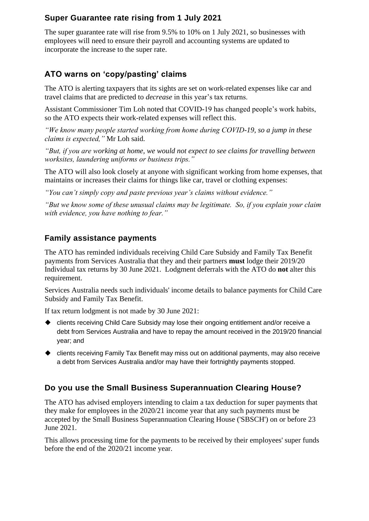# **Super Guarantee rate rising from 1 July 2021**

The super guarantee rate will rise from 9.5% to 10% on 1 July 2021, so businesses with employees will need to ensure their payroll and accounting systems are updated to incorporate the increase to the super rate.

# **ATO warns on 'copy/pasting' claims**

The ATO is alerting taxpayers that its sights are set on work-related expenses like car and travel claims that are predicted to *decrease* in this year's tax returns.

Assistant Commissioner Tim Loh noted that COVID-19 has changed people's work habits, so the ATO expects their work-related expenses will reflect this.

*"We know many people started working from home during COVID-19, so a jump in these claims is expected,"* Mr Loh said.

*"But, if you are working at home, we would not expect to see claims for travelling between worksites, laundering uniforms or business trips."*

The ATO will also look closely at anyone with significant working from home expenses, that maintains or increases their claims for things like car, travel or clothing expenses:

*"You can't simply copy and paste previous year's claims without evidence."*

*"But we know some of these unusual claims may be legitimate. So, if you explain your claim with evidence, you have nothing to fear."*

# **Family assistance payments**

The ATO has reminded individuals receiving Child Care Subsidy and Family Tax Benefit payments from Services Australia that they and their partners **must** lodge their 2019/20 Individual tax returns by 30 June 2021. Lodgment deferrals with the ATO do **not** alter this requirement.

Services Australia needs such individuals' income details to balance payments for Child Care Subsidy and Family Tax Benefit.

If tax return lodgment is not made by 30 June 2021:

- ◆ clients receiving Child Care Subsidy may lose their ongoing entitlement and/or receive a debt from Services Australia and have to repay the amount received in the 2019/20 financial year; and
- ◆ clients receiving Family Tax Benefit may miss out on additional payments, may also receive a debt from Services Australia and/or may have their fortnightly payments stopped.

### **Do you use the Small Business Superannuation Clearing House?**

The ATO has advised employers intending to claim a tax deduction for super payments that they make for employees in the 2020/21 income year that any such payments must be accepted by the Small Business Superannuation Clearing House ('SBSCH') on or before 23 June 2021.

This allows processing time for the payments to be received by their employees' super funds before the end of the 2020/21 income year.